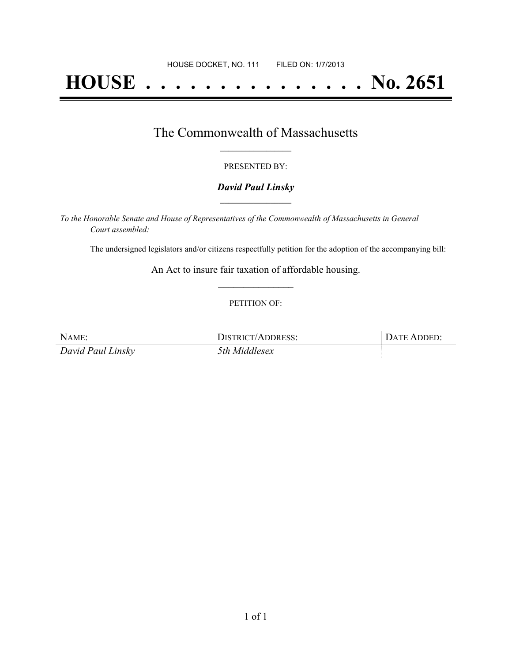# **HOUSE . . . . . . . . . . . . . . . No. 2651**

### The Commonwealth of Massachusetts **\_\_\_\_\_\_\_\_\_\_\_\_\_\_\_\_\_**

#### PRESENTED BY:

#### *David Paul Linsky* **\_\_\_\_\_\_\_\_\_\_\_\_\_\_\_\_\_**

*To the Honorable Senate and House of Representatives of the Commonwealth of Massachusetts in General Court assembled:*

The undersigned legislators and/or citizens respectfully petition for the adoption of the accompanying bill:

An Act to insure fair taxation of affordable housing. **\_\_\_\_\_\_\_\_\_\_\_\_\_\_\_**

#### PETITION OF:

| NAME:             | DISTRICT/ADDRESS: | DATE ADDED: |
|-------------------|-------------------|-------------|
| David Paul Linsky | 5th Middlesex     |             |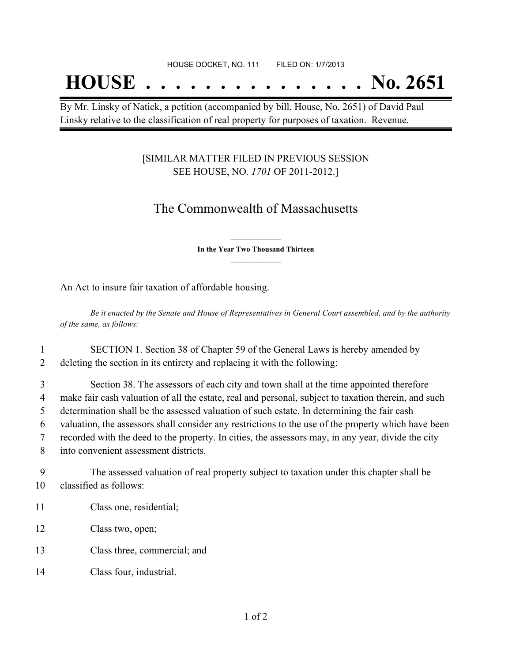## **HOUSE . . . . . . . . . . . . . . . No. 2651**

By Mr. Linsky of Natick, a petition (accompanied by bill, House, No. 2651) of David Paul Linsky relative to the classification of real property for purposes of taxation. Revenue.

#### [SIMILAR MATTER FILED IN PREVIOUS SESSION SEE HOUSE, NO. *1701* OF 2011-2012.]

## The Commonwealth of Massachusetts

**\_\_\_\_\_\_\_\_\_\_\_\_\_\_\_ In the Year Two Thousand Thirteen \_\_\_\_\_\_\_\_\_\_\_\_\_\_\_**

An Act to insure fair taxation of affordable housing.

Be it enacted by the Senate and House of Representatives in General Court assembled, and by the authority *of the same, as follows:*

1 SECTION 1. Section 38 of Chapter 59 of the General Laws is hereby amended by 2 deleting the section in its entirety and replacing it with the following:

 Section 38. The assessors of each city and town shall at the time appointed therefore make fair cash valuation of all the estate, real and personal, subject to taxation therein, and such determination shall be the assessed valuation of such estate. In determining the fair cash valuation, the assessors shall consider any restrictions to the use of the property which have been recorded with the deed to the property. In cities, the assessors may, in any year, divide the city into convenient assessment districts.

9 The assessed valuation of real property subject to taxation under this chapter shall be 10 classified as follows:

- 11 Class one, residential;
- 12 Class two, open;
- 13 Class three, commercial; and
- 14 Class four, industrial.